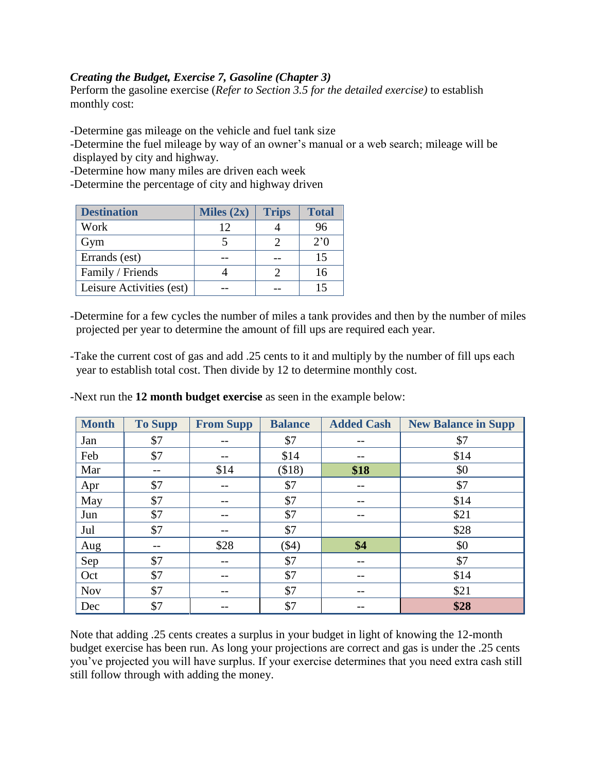## *Creating the Budget, Exercise 7, Gasoline (Chapter 3)*

Perform the gasoline exercise (*Refer to Section 3.5 for the detailed exercise)* to establish monthly cost:

-Determine gas mileage on the vehicle and fuel tank size

-Determine the fuel mileage by way of an owner's manual or a web search; mileage will be displayed by city and highway.

-Determine how many miles are driven each week

-Determine the percentage of city and highway driven

| <b>Destination</b>       | Miles $(2x)$ | <b>Trips</b> | <b>Total</b>  |
|--------------------------|--------------|--------------|---------------|
| Work                     | 12           |              | 96            |
| Gym                      |              |              | $2.0^{\circ}$ |
| Errands (est)            |              |              | 15            |
| Family / Friends         |              |              | 16            |
| Leisure Activities (est) |              |              |               |

-Determine for a few cycles the number of miles a tank provides and then by the number of miles projected per year to determine the amount of fill ups are required each year.

-Take the current cost of gas and add .25 cents to it and multiply by the number of fill ups each year to establish total cost. Then divide by 12 to determine monthly cost.

| <b>Month</b> | <b>To Supp</b> | <b>From Supp</b> | <b>Balance</b> | <b>Added Cash</b> | <b>New Balance in Supp</b> |
|--------------|----------------|------------------|----------------|-------------------|----------------------------|
| Jan          | \$7            |                  | \$7            | --                | \$7                        |
| Feb          | \$7            |                  | \$14           |                   | \$14                       |
| Mar          |                | \$14             | (\$18)         | \$18              | \$0                        |
| Apr          | \$7            |                  | \$7            |                   | \$7                        |
| May          | \$7            |                  | \$7            | --                | \$14                       |
| Jun          | \$7            | --               | \$7            | --                | \$21                       |
| Jul          | \$7            | $- -$            | \$7            |                   | \$28                       |
| Aug          |                | \$28             | $($ \$4)       | \$4               | \$0                        |
| Sep          | \$7            | $- -$            | \$7            | --                | \$7                        |
| Oct          | \$7            |                  | \$7            |                   | \$14                       |
| <b>Nov</b>   | \$7            | --               | \$7            | --                | \$21                       |
| Dec          | \$7            |                  | \$7            |                   | \$28                       |

-Next run the **12 month budget exercise** as seen in the example below:

Note that adding .25 cents creates a surplus in your budget in light of knowing the 12-month budget exercise has been run. As long your projections are correct and gas is under the .25 cents you've projected you will have surplus. If your exercise determines that you need extra cash still still follow through with adding the money.